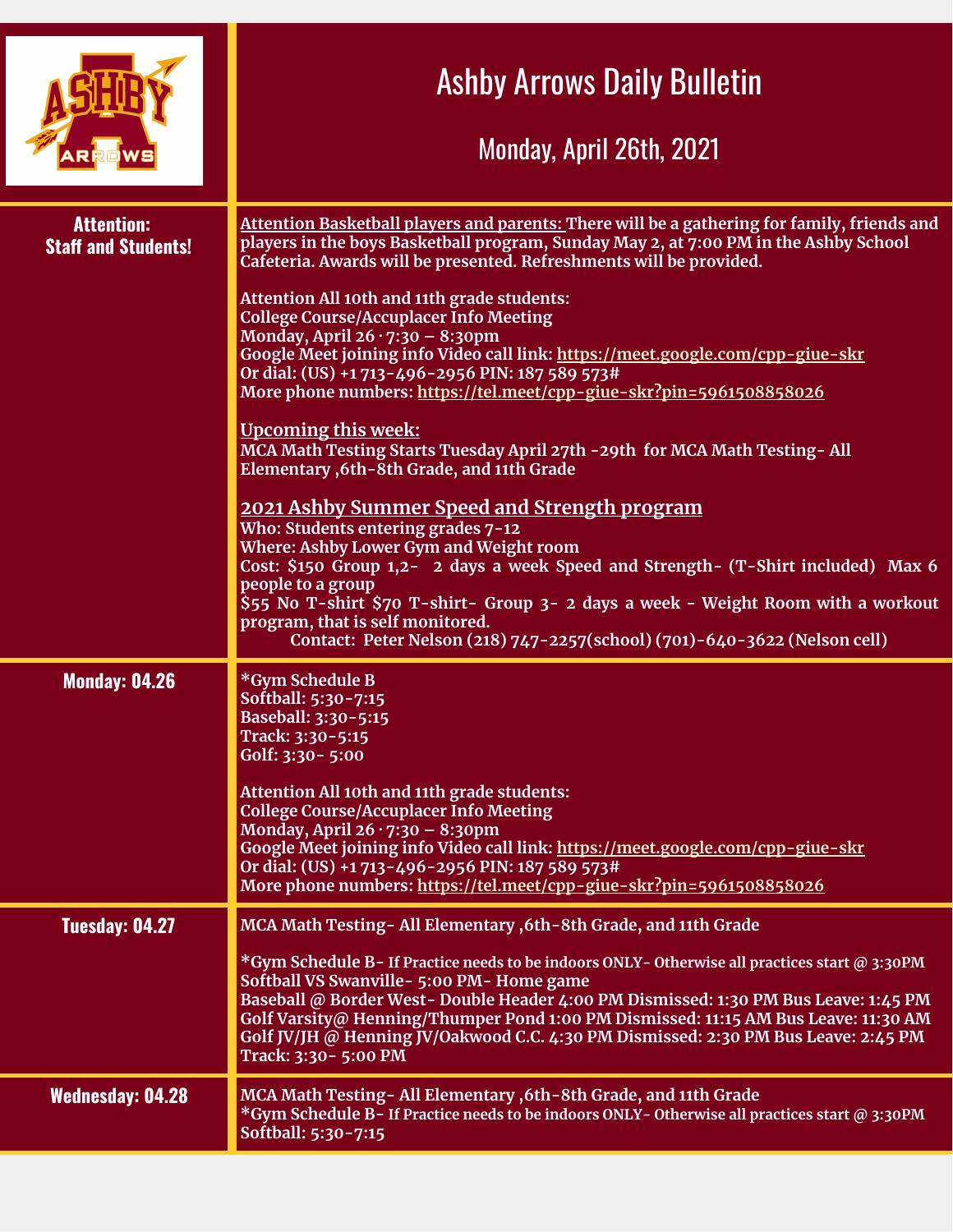|                                                 | <b>Ashby Arrows Daily Bulletin</b><br>Monday, April 26th, 2021                                                                                                                                                                                                                                                                                                                                                                                                                                                                                                                                                                                                                                                                                                                                                                                                                                                                                                                                                                                                                                                                                                                                                                     |
|-------------------------------------------------|------------------------------------------------------------------------------------------------------------------------------------------------------------------------------------------------------------------------------------------------------------------------------------------------------------------------------------------------------------------------------------------------------------------------------------------------------------------------------------------------------------------------------------------------------------------------------------------------------------------------------------------------------------------------------------------------------------------------------------------------------------------------------------------------------------------------------------------------------------------------------------------------------------------------------------------------------------------------------------------------------------------------------------------------------------------------------------------------------------------------------------------------------------------------------------------------------------------------------------|
| <b>Attention:</b><br><b>Staff and Students!</b> | Attention Basketball players and parents: There will be a gathering for family, friends and<br>players in the boys Basketball program, Sunday May 2, at 7:00 PM in the Ashby School<br>Cafeteria. Awards will be presented. Refreshments will be provided.<br>Attention All 10th and 11th grade students:<br><b>College Course/Accuplacer Info Meeting</b><br>Monday, April $26 \cdot 7:30 - 8:30$ pm<br>Google Meet joining info Video call link: https://meet.google.com/cpp-giue-skr<br>Or dial: (US) +1713-496-2956 PIN: 187 589 573#<br>More phone numbers: https://tel.meet/cpp-giue-skr?pin=5961508858026<br><b>Upcoming this week:</b><br>MCA Math Testing Starts Tuesday April 27th - 29th for MCA Math Testing- All<br>Elementary , 6th-8th Grade, and 11th Grade<br>2021 Ashby Summer Speed and Strength program<br>Who: Students entering grades 7-12<br><b>Where: Ashby Lower Gym and Weight room</b><br>Cost: \$150 Group 1,2- 2 days a week Speed and Strength- (T-Shirt included) Max 6<br>people to a group<br>\$55 No T-shirt \$70 T-shirt- Group 3- 2 days a week - Weight Room with a workout<br>program, that is self monitored.<br>Contact: Peter Nelson (218) 747-2257(school) (701)-640-3622 (Nelson cell) |
| <b>Monday: 04.26</b>                            | *Gym Schedule B<br>Softball: 5:30-7:15<br>Baseball: 3:30-5:15<br>Track: 3:30-5:15<br>Golf: 3:30 - 5:00<br>Attention All 10th and 11th grade students:<br><b>College Course/Accuplacer Info Meeting</b><br>Monday, April $26 \cdot 7:30 - 8:30$ pm<br>Google Meet joining info Video call link: https://meet.google.com/cpp-giue-skr<br>Or dial: (US) +1 713-496-2956 PIN: 187 589 573#<br>More phone numbers: https://tel.meet/cpp-giue-skr?pin=5961508858026                                                                                                                                                                                                                                                                                                                                                                                                                                                                                                                                                                                                                                                                                                                                                                      |
| Tuesday: 04.27                                  | MCA Math Testing - All Elementary , 6th - 8th Grade, and 11th Grade<br>*Gym Schedule B-If Practice needs to be indoors ONLY-Otherwise all practices start @ 3:30PM<br>Softball VS Swanville - 5:00 PM - Home game<br>Baseball @ Border West-Double Header 4:00 PM Dismissed: 1:30 PM Bus Leave: 1:45 PM<br>Golf Varsity@ Henning/Thumper Pond 1:00 PM Dismissed: 11:15 AM Bus Leave: 11:30 AM<br>Golf JV/JH @ Henning JV/Oakwood C.C. 4:30 PM Dismissed: 2:30 PM Bus Leave: 2:45 PM<br>Track: 3:30 - 5:00 PM                                                                                                                                                                                                                                                                                                                                                                                                                                                                                                                                                                                                                                                                                                                       |
| <b>Wednesday: 04.28</b>                         | MCA Math Testing-All Elementary, 6th-8th Grade, and 11th Grade<br>*Gym Schedule B-If Practice needs to be indoors ONLY-Otherwise all practices start @ 3:30PM<br>Softball: 5:30-7:15                                                                                                                                                                                                                                                                                                                                                                                                                                                                                                                                                                                                                                                                                                                                                                                                                                                                                                                                                                                                                                               |